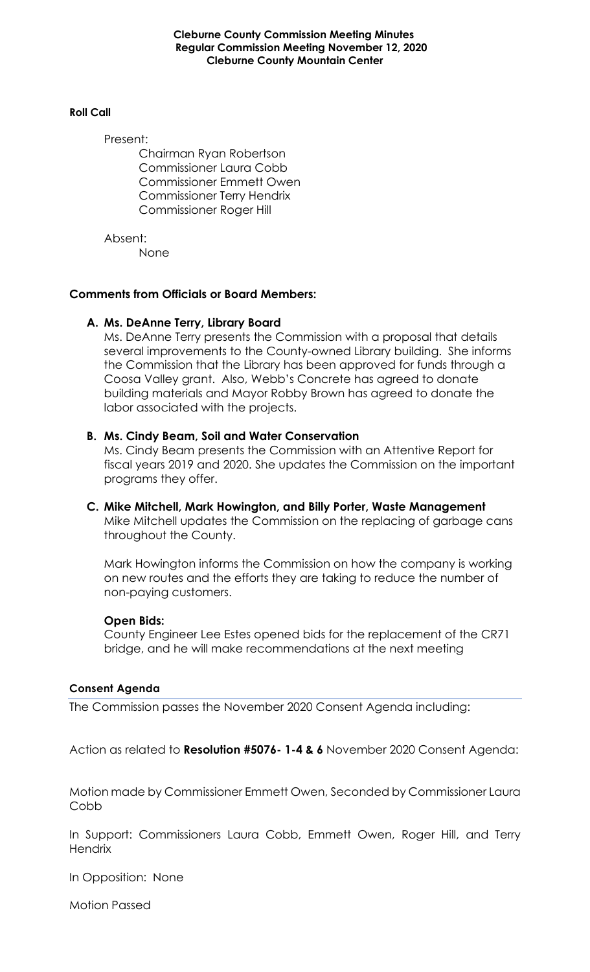**Cleburne County Commission Meeting Minutes Regular Commission Meeting November 12, 2020 Cleburne County Mountain Center**

#### **Roll Call**

Present:

Chairman Ryan Robertson Commissioner Laura Cobb Commissioner Emmett Owen Commissioner Terry Hendrix Commissioner Roger Hill

Absent: None

## **Comments from Officials or Board Members:**

#### **A. Ms. DeAnne Terry, Library Board**

Ms. DeAnne Terry presents the Commission with a proposal that details several improvements to the County-owned Library building. She informs the Commission that the Library has been approved for funds through a Coosa Valley grant. Also, Webb's Concrete has agreed to donate building materials and Mayor Robby Brown has agreed to donate the labor associated with the projects.

#### **B. Ms. Cindy Beam, Soil and Water Conservation**

Ms. Cindy Beam presents the Commission with an Attentive Report for fiscal years 2019 and 2020. She updates the Commission on the important programs they offer.

# **C. Mike Mitchell, Mark Howington, and Billy Porter, Waste Management** Mike Mitchell updates the Commission on the replacing of garbage cans throughout the County.

Mark Howington informs the Commission on how the company is working on new routes and the efforts they are taking to reduce the number of non-paying customers.

#### **Open Bids:**

County Engineer Lee Estes opened bids for the replacement of the CR71 bridge, and he will make recommendations at the next meeting

# **Consent Agenda**

The Commission passes the November 2020 Consent Agenda including:

Action as related to **Resolution #5076- 1-4 & 6** November 2020 Consent Agenda:

Motion made by Commissioner Emmett Owen, Seconded by Commissioner Laura Cobb

In Support: Commissioners Laura Cobb, Emmett Owen, Roger Hill, and Terry **Hendrix** 

In Opposition: None

Motion Passed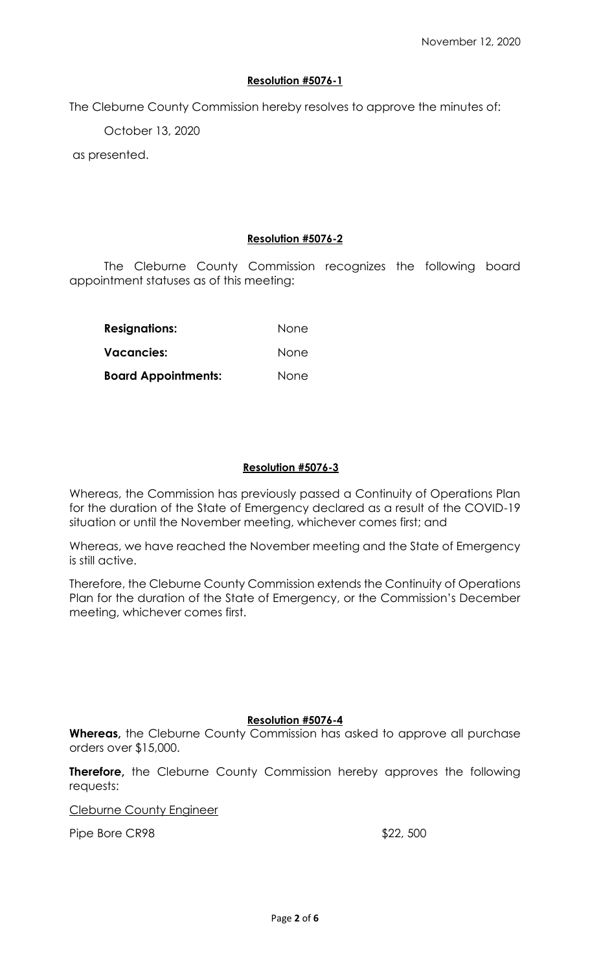# **Resolution #5076-1**

The Cleburne County Commission hereby resolves to approve the minutes of:

October 13, 2020

as presented.

## **Resolution #5076-2**

The Cleburne County Commission recognizes the following board appointment statuses as of this meeting:

| <b>Resignations:</b><br>Vacancies: | None<br>None |
|------------------------------------|--------------|
|                                    |              |

## **Resolution #5076-3**

Whereas, the Commission has previously passed a Continuity of Operations Plan for the duration of the State of Emergency declared as a result of the COVID-19 situation or until the November meeting, whichever comes first; and

Whereas, we have reached the November meeting and the State of Emergency is still active.

Therefore, the Cleburne County Commission extends the Continuity of Operations Plan for the duration of the State of Emergency, or the Commission's December meeting, whichever comes first.

#### **Resolution #5076-4**

**Whereas,** the Cleburne County Commission has asked to approve all purchase orders over \$15,000.

**Therefore,** the Cleburne County Commission hereby approves the following requests:

Cleburne County Engineer

Pipe Bore CR98  $$22, 500$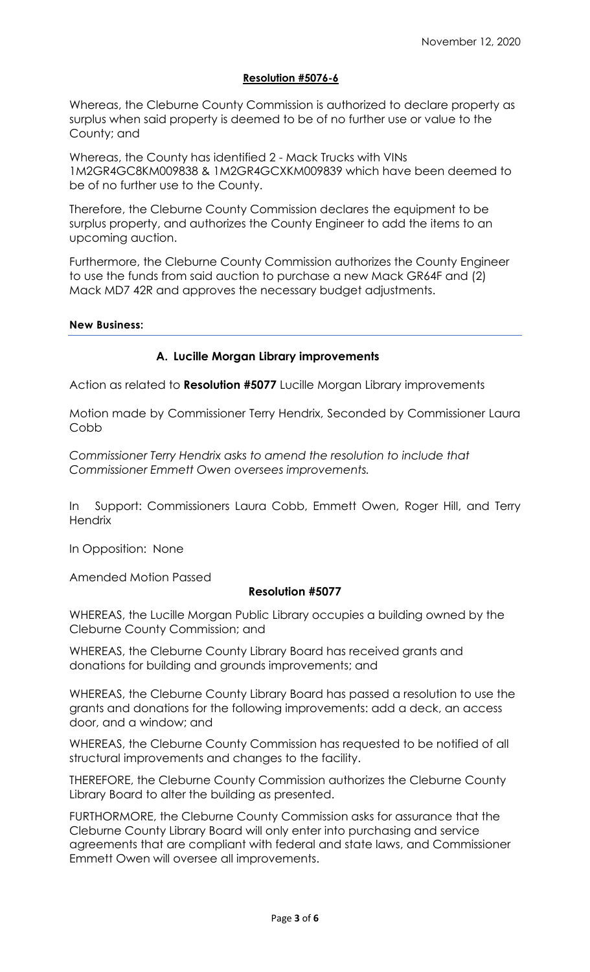# **Resolution #5076-6**

Whereas, the Cleburne County Commission is authorized to declare property as surplus when said property is deemed to be of no further use or value to the County; and

Whereas, the County has identified 2 - Mack Trucks with VINs 1M2GR4GC8KM009838 & 1M2GR4GCXKM009839 which have been deemed to be of no further use to the County.

Therefore, the Cleburne County Commission declares the equipment to be surplus property, and authorizes the County Engineer to add the items to an upcoming auction.

Furthermore, the Cleburne County Commission authorizes the County Engineer to use the funds from said auction to purchase a new Mack GR64F and (2) Mack MD7 42R and approves the necessary budget adjustments.

#### **New Business:**

# **A. Lucille Morgan Library improvements**

Action as related to **Resolution #5077** Lucille Morgan Library improvements

Motion made by Commissioner Terry Hendrix, Seconded by Commissioner Laura Cobb

*Commissioner Terry Hendrix asks to amend the resolution to include that Commissioner Emmett Owen oversees improvements.*

In Support: Commissioners Laura Cobb, Emmett Owen, Roger Hill, and Terry **Hendrix** 

In Opposition: None

Amended Motion Passed

#### **Resolution #5077**

WHEREAS, the Lucille Morgan Public Library occupies a building owned by the Cleburne County Commission; and

WHEREAS, the Cleburne County Library Board has received grants and donations for building and grounds improvements; and

WHEREAS, the Cleburne County Library Board has passed a resolution to use the grants and donations for the following improvements: add a deck, an access door, and a window; and

WHEREAS, the Cleburne County Commission has requested to be notified of all structural improvements and changes to the facility.

THEREFORE, the Cleburne County Commission authorizes the Cleburne County Library Board to alter the building as presented.

FURTHORMORE, the Cleburne County Commission asks for assurance that the Cleburne County Library Board will only enter into purchasing and service agreements that are compliant with federal and state laws, and Commissioner Emmett Owen will oversee all improvements.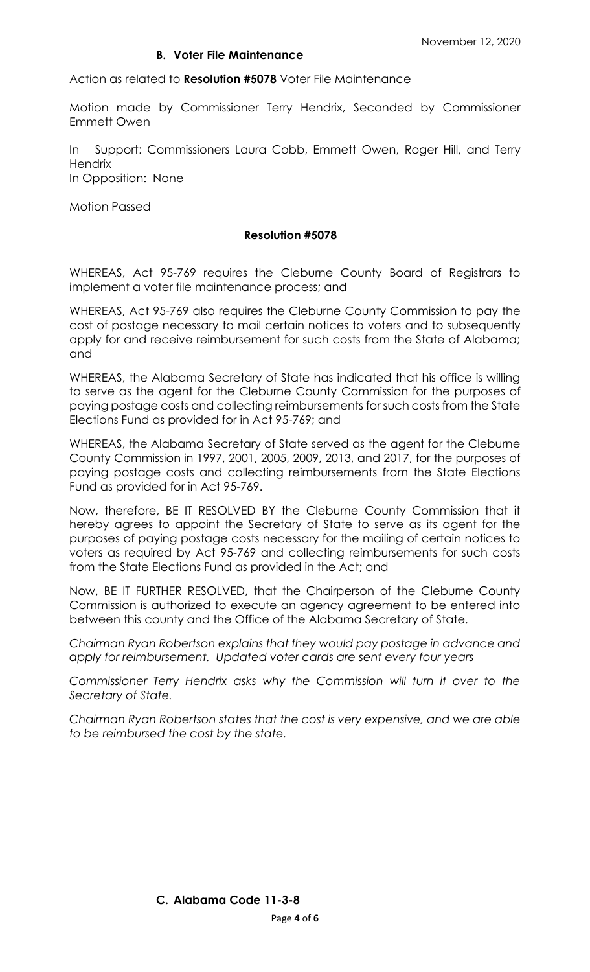## **B. Voter File Maintenance**

Action as related to **Resolution #5078** Voter File Maintenance

Motion made by Commissioner Terry Hendrix, Seconded by Commissioner Emmett Owen

In Support: Commissioners Laura Cobb, Emmett Owen, Roger Hill, and Terry **Hendrix** In Opposition: None

Motion Passed

### **Resolution #5078**

WHEREAS, Act 95-769 requires the Cleburne County Board of Registrars to implement a voter file maintenance process; and

WHEREAS, Act 95-769 also requires the Cleburne County Commission to pay the cost of postage necessary to mail certain notices to voters and to subsequently apply for and receive reimbursement for such costs from the State of Alabama; and

WHEREAS, the Alabama Secretary of State has indicated that his office is willing to serve as the agent for the Cleburne County Commission for the purposes of paying postage costs and collecting reimbursements for such costs from the State Elections Fund as provided for in Act 95-769; and

WHEREAS, the Alabama Secretary of State served as the agent for the Cleburne County Commission in 1997, 2001, 2005, 2009, 2013, and 2017, for the purposes of paying postage costs and collecting reimbursements from the State Elections Fund as provided for in Act 95-769.

Now, therefore, BE IT RESOLVED BY the Cleburne County Commission that it hereby agrees to appoint the Secretary of State to serve as its agent for the purposes of paying postage costs necessary for the mailing of certain notices to voters as required by Act 95-769 and collecting reimbursements for such costs from the State Elections Fund as provided in the Act; and

Now, BE IT FURTHER RESOLVED, that the Chairperson of the Cleburne County Commission is authorized to execute an agency agreement to be entered into between this county and the Office of the Alabama Secretary of State.

*Chairman Ryan Robertson explains that they would pay postage in advance and apply for reimbursement. Updated voter cards are sent every four years*

*Commissioner Terry Hendrix asks why the Commission will turn it over to the Secretary of State.* 

*Chairman Ryan Robertson states that the cost is very expensive, and we are able to be reimbursed the cost by the state.*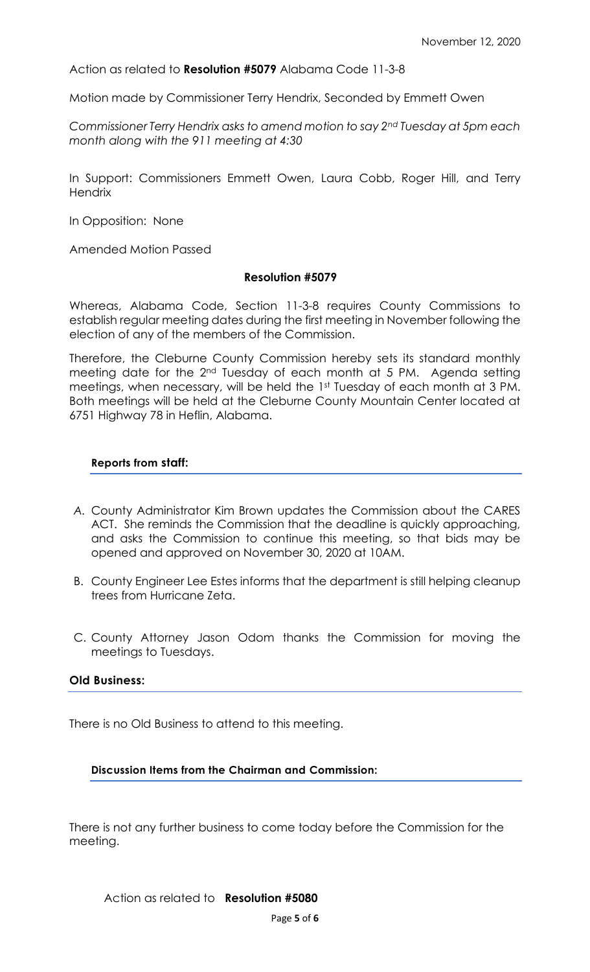Action as related to **Resolution #5079** Alabama Code 11-3-8

Motion made by Commissioner Terry Hendrix, Seconded by Emmett Owen

*Commissioner Terry Hendrix asks to amend motion to say 2nd Tuesday at 5pm each month along with the 911 meeting at 4:30*

In Support: Commissioners Emmett Owen, Laura Cobb, Roger Hill, and Terry **Hendrix** 

In Opposition: None

Amended Motion Passed

#### **Resolution #5079**

Whereas, Alabama Code, Section 11-3-8 requires County Commissions to establish regular meeting dates during the first meeting in November following the election of any of the members of the Commission.

Therefore, the Cleburne County Commission hereby sets its standard monthly meeting date for the 2<sup>nd</sup> Tuesday of each month at 5 PM. Agenda setting meetings, when necessary, will be held the 1st Tuesday of each month at 3 PM. Both meetings will be held at the Cleburne County Mountain Center located at 6751 Highway 78 in Heflin, Alabama.

#### **Reports from staff:**

- *A.* County Administrator Kim Brown updates the Commission about the CARES ACT. She reminds the Commission that the deadline is quickly approaching, and asks the Commission to continue this meeting, so that bids may be opened and approved on November 30, 2020 at 10AM.
- B. County Engineer Lee Estes informs that the department is still helping cleanup trees from Hurricane Zeta.
- C. County Attorney Jason Odom thanks the Commission for moving the meetings to Tuesdays.

#### **Old Business:**

There is no Old Business to attend to this meeting.

#### **Discussion Items from the Chairman and Commission:**

There is not any further business to come today before the Commission for the meeting.